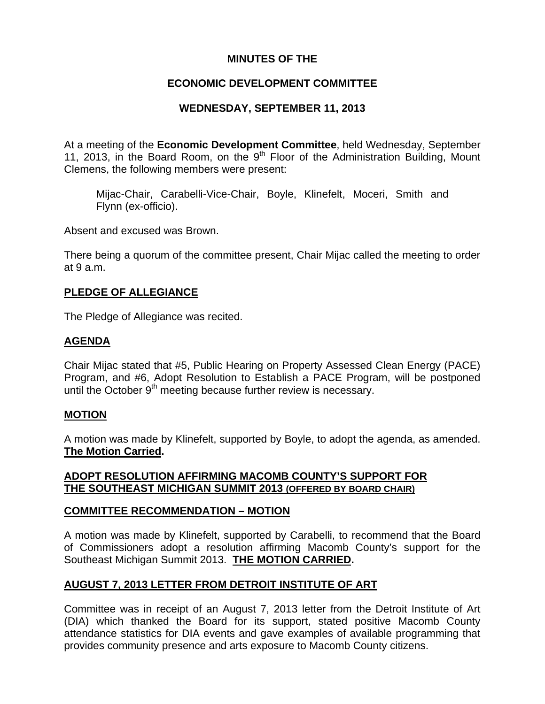### **MINUTES OF THE**

## **ECONOMIC DEVELOPMENT COMMITTEE**

## **WEDNESDAY, SEPTEMBER 11, 2013**

At a meeting of the **Economic Development Committee**, held Wednesday, September 11, 2013, in the Board Room, on the  $9<sup>th</sup>$  Floor of the Administration Building, Mount Clemens, the following members were present:

Mijac-Chair, Carabelli-Vice-Chair, Boyle, Klinefelt, Moceri, Smith and Flynn (ex-officio).

Absent and excused was Brown.

There being a quorum of the committee present, Chair Mijac called the meeting to order at 9 a.m.

### **PLEDGE OF ALLEGIANCE**

The Pledge of Allegiance was recited.

## **AGENDA**

Chair Mijac stated that #5, Public Hearing on Property Assessed Clean Energy (PACE) Program, and #6, Adopt Resolution to Establish a PACE Program, will be postponed until the October 9<sup>th</sup> meeting because further review is necessary.

### **MOTION**

A motion was made by Klinefelt, supported by Boyle, to adopt the agenda, as amended. **The Motion Carried.** 

### **ADOPT RESOLUTION AFFIRMING MACOMB COUNTY'S SUPPORT FOR THE SOUTHEAST MICHIGAN SUMMIT 2013 (OFFERED BY BOARD CHAIR)**

### **COMMITTEE RECOMMENDATION – MOTION**

A motion was made by Klinefelt, supported by Carabelli, to recommend that the Board of Commissioners adopt a resolution affirming Macomb County's support for the Southeast Michigan Summit 2013. **THE MOTION CARRIED.** 

# **AUGUST 7, 2013 LETTER FROM DETROIT INSTITUTE OF ART**

Committee was in receipt of an August 7, 2013 letter from the Detroit Institute of Art (DIA) which thanked the Board for its support, stated positive Macomb County attendance statistics for DIA events and gave examples of available programming that provides community presence and arts exposure to Macomb County citizens.